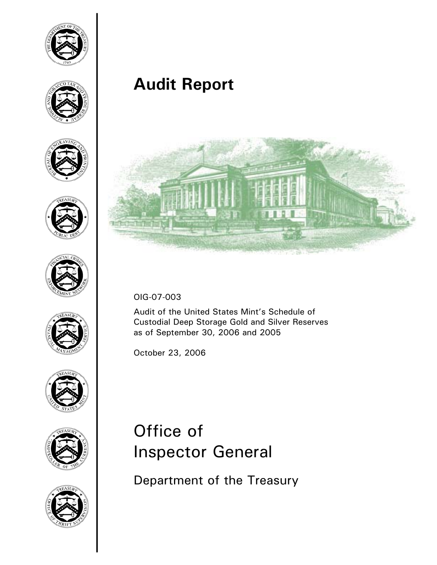

















**Audit Report**



OIG-07-003

Audit of the United States Mint's Schedule of Custodial Deep Storage Gold and Silver Reserves as of September 30, 2006 and 2005

October 23, 2006

# Office of Inspector General

Department of the Treasury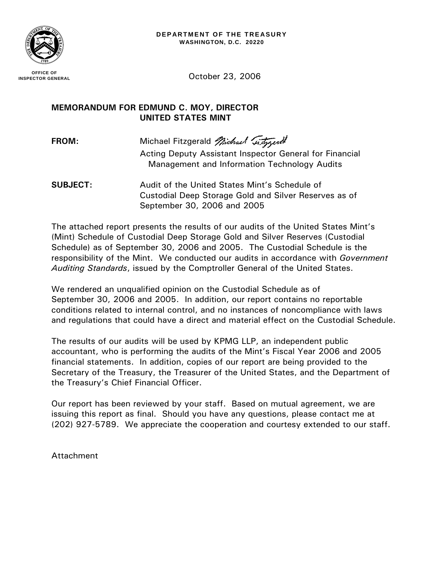

**OFFICE OF INSPECTOR GENERAL**

October 23, 2006

#### **MEMORANDUM FOR EDMUND C. MOY, DIRECTOR UNITED STATES MINT**

**FROM:** Michael Fitzgerald *Michael Chargerell* 

 Acting Deputy Assistant Inspector General for Financial Management and Information Technology Audits

**SUBJECT:** Audit of the United States Mint's Schedule of Custodial Deep Storage Gold and Silver Reserves as of September 30, 2006 and 2005

The attached report presents the results of our audits of the United States Mint's (Mint) Schedule of Custodial Deep Storage Gold and Silver Reserves (Custodial Schedule) as of September 30, 2006 and 2005. The Custodial Schedule is the responsibility of the Mint. We conducted our audits in accordance with *Government Auditing Standards*, issued by the Comptroller General of the United States.

We rendered an unqualified opinion on the Custodial Schedule as of September 30, 2006 and 2005. In addition, our report contains no reportable conditions related to internal control, and no instances of noncompliance with laws and regulations that could have a direct and material effect on the Custodial Schedule.

The results of our audits will be used by KPMG LLP, an independent public accountant, who is performing the audits of the Mint's Fiscal Year 2006 and 2005 financial statements. In addition, copies of our report are being provided to the Secretary of the Treasury, the Treasurer of the United States, and the Department of the Treasury's Chief Financial Officer.

Our report has been reviewed by your staff. Based on mutual agreement, we are issuing this report as final. Should you have any questions, please contact me at (202) 927-5789. We appreciate the cooperation and courtesy extended to our staff.

Attachment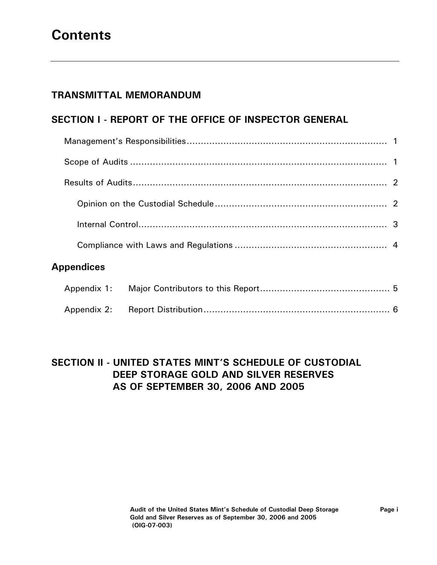## **Contents**

#### **TRANSMITTAL MEMORANDUM**

#### **SECTION I - REPORT OF THE OFFICE OF INSPECTOR GENERAL**

| <b>Appendices</b> |  |  |  |  |
|-------------------|--|--|--|--|
|                   |  |  |  |  |
|                   |  |  |  |  |

#### **SECTION II - UNITED STATES MINT'S SCHEDULE OF CUSTODIAL DEEP STORAGE GOLD AND SILVER RESERVES AS OF SEPTEMBER 30, 2006 AND 2005**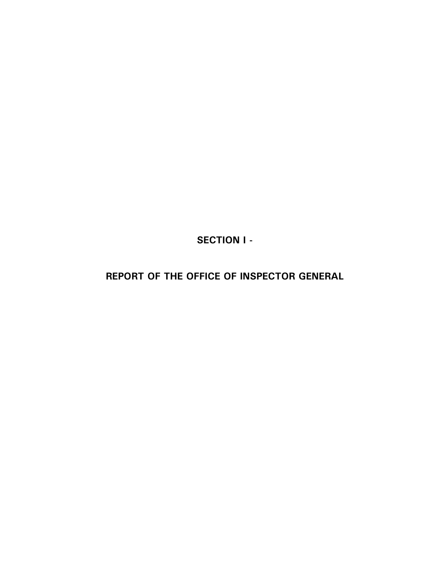**SECTION I -** 

**REPORT OF THE OFFICE OF INSPECTOR GENERAL**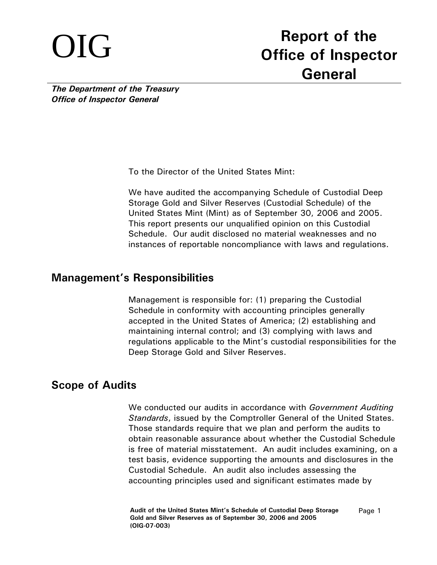# OIG **Report of the Office of Inspector General**

*The Department of the Treasury Office of Inspector General* 

To the Director of the United States Mint:

We have audited the accompanying Schedule of Custodial Deep Storage Gold and Silver Reserves (Custodial Schedule) of the United States Mint (Mint) as of September 30, 2006 and 2005. This report presents our unqualified opinion on this Custodial Schedule. Our audit disclosed no material weaknesses and no instances of reportable noncompliance with laws and regulations.

#### **Management's Responsibilities**

Management is responsible for: (1) preparing the Custodial Schedule in conformity with accounting principles generally accepted in the United States of America; (2) establishing and maintaining internal control; and (3) complying with laws and regulations applicable to the Mint's custodial responsibilities for the Deep Storage Gold and Silver Reserves.

### **Scope of Audits**

We conducted our audits in accordance with *Government Auditing Standards*, issued by the Comptroller General of the United States. Those standards require that we plan and perform the audits to obtain reasonable assurance about whether the Custodial Schedule is free of material misstatement. An audit includes examining, on a test basis, evidence supporting the amounts and disclosures in the Custodial Schedule. An audit also includes assessing the accounting principles used and significant estimates made by

**Audit of the United States Mint's Schedule of Custodial Deep Storage Gold and Silver Reserves as of September 30, 2006 and 2005 (OIG-07-003)**  Page 1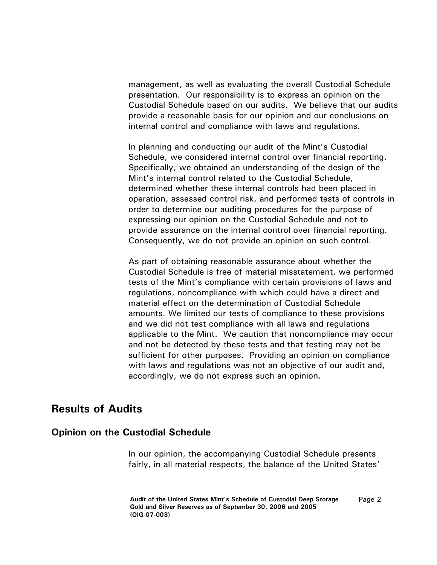management, as well as evaluating the overall Custodial Schedule presentation. Our responsibility is to express an opinion on the Custodial Schedule based on our audits. We believe that our audits provide a reasonable basis for our opinion and our conclusions on internal control and compliance with laws and regulations.

In planning and conducting our audit of the Mint's Custodial Schedule, we considered internal control over financial reporting. Specifically, we obtained an understanding of the design of the Mint's internal control related to the Custodial Schedule, determined whether these internal controls had been placed in operation, assessed control risk, and performed tests of controls in order to determine our auditing procedures for the purpose of expressing our opinion on the Custodial Schedule and not to provide assurance on the internal control over financial reporting. Consequently, we do not provide an opinion on such control.

As part of obtaining reasonable assurance about whether the Custodial Schedule is free of material misstatement, we performed tests of the Mint's compliance with certain provisions of laws and regulations, noncompliance with which could have a direct and material effect on the determination of Custodial Schedule amounts. We limited our tests of compliance to these provisions and we did not test compliance with all laws and regulations applicable to the Mint. We caution that noncompliance may occur and not be detected by these tests and that testing may not be sufficient for other purposes. Providing an opinion on compliance with laws and regulations was not an objective of our audit and, accordingly, we do not express such an opinion.

#### **Results of Audits**

#### **Opinion on the Custodial Schedule**

In our opinion, the accompanying Custodial Schedule presents fairly, in all material respects, the balance of the United States'

**Audit of the United States Mint's Schedule of Custodial Deep Storage Gold and Silver Reserves as of September 30, 2006 and 2005 (OIG-07-003)**  Page 2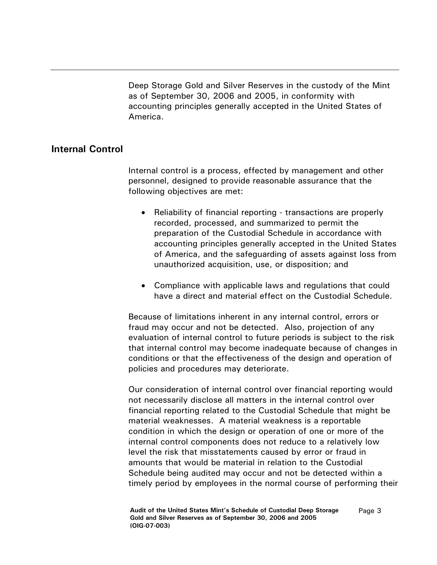Deep Storage Gold and Silver Reserves in the custody of the Mint as of September 30, 2006 and 2005, in conformity with accounting principles generally accepted in the United States of America.

#### **Internal Control**

Internal control is a process, effected by management and other personnel, designed to provide reasonable assurance that the following objectives are met:

- Reliability of financial reporting transactions are properly recorded, processed, and summarized to permit the preparation of the Custodial Schedule in accordance with accounting principles generally accepted in the United States of America, and the safeguarding of assets against loss from unauthorized acquisition, use, or disposition; and
- Compliance with applicable laws and regulations that could have a direct and material effect on the Custodial Schedule.

Because of limitations inherent in any internal control, errors or fraud may occur and not be detected. Also, projection of any evaluation of internal control to future periods is subject to the risk that internal control may become inadequate because of changes in conditions or that the effectiveness of the design and operation of policies and procedures may deteriorate.

Our consideration of internal control over financial reporting would not necessarily disclose all matters in the internal control over financial reporting related to the Custodial Schedule that might be material weaknesses. A material weakness is a reportable condition in which the design or operation of one or more of the internal control components does not reduce to a relatively low level the risk that misstatements caused by error or fraud in amounts that would be material in relation to the Custodial Schedule being audited may occur and not be detected within a timely period by employees in the normal course of performing their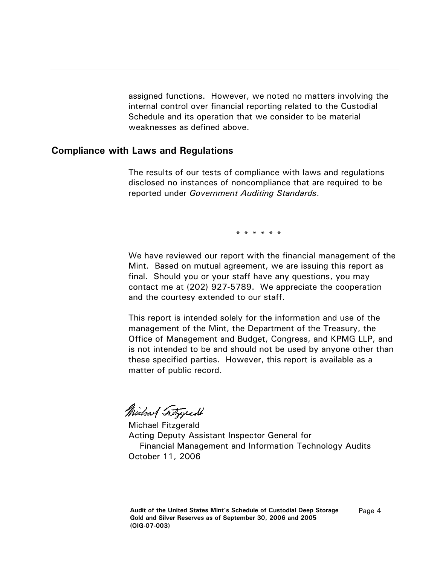assigned functions. However, we noted no matters involving the internal control over financial reporting related to the Custodial Schedule and its operation that we consider to be material weaknesses as defined above.

#### **Compliance with Laws and Regulations**

The results of our tests of compliance with laws and regulations disclosed no instances of noncompliance that are required to be reported under *Government Auditing Standards*.

\* \* \* \* \* \*

We have reviewed our report with the financial management of the Mint. Based on mutual agreement, we are issuing this report as final. Should you or your staff have any questions, you may contact me at (202) 927-5789. We appreciate the cooperation and the courtesy extended to our staff.

This report is intended solely for the information and use of the management of the Mint, the Department of the Treasury, the Office of Management and Budget, Congress, and KPMG LLP, and is not intended to be and should not be used by anyone other than these specified parties. However, this report is available as a matter of public record.

Michael Tritygread

Michael Fitzgerald Acting Deputy Assistant Inspector General for Financial Management and Information Technology Audits October 11, 2006

Page 4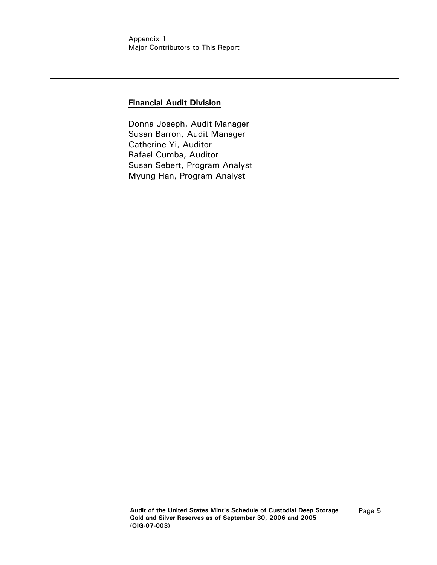#### **Financial Audit Division**

Donna Joseph, Audit Manager Susan Barron, Audit Manager Catherine Yi, Auditor Rafael Cumba, Auditor Susan Sebert, Program Analyst Myung Han, Program Analyst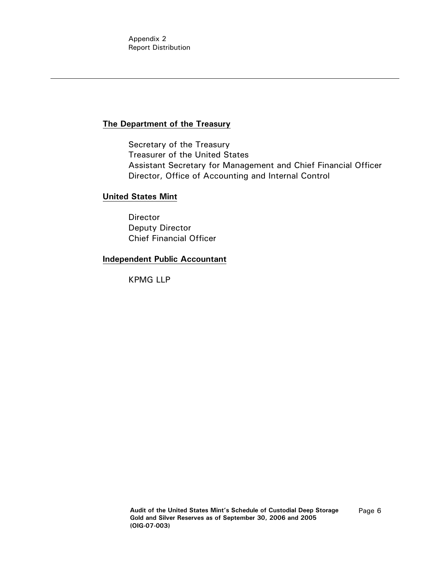Appendix 2 Report Distribution

#### **The Department of the Treasury**

 Secretary of the Treasury Treasurer of the United States Assistant Secretary for Management and Chief Financial Officer Director, Office of Accounting and Internal Control

#### **United States Mint**

 Director Deputy Director Chief Financial Officer

#### **Independent Public Accountant**

KPMG LLP

Page 6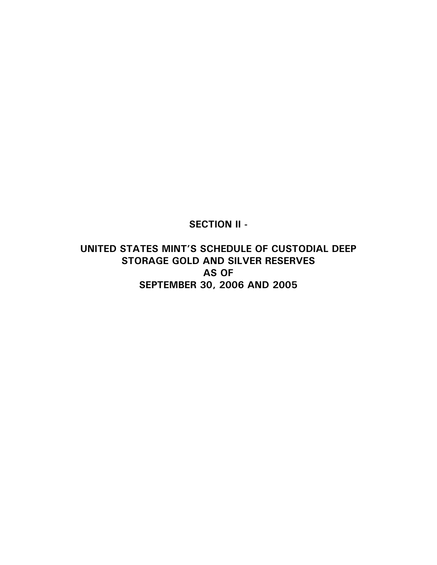**SECTION II -** 

**UNITED STATES MINT'S SCHEDULE OF CUSTODIAL DEEP STORAGE GOLD AND SILVER RESERVES AS OF SEPTEMBER 30, 2006 AND 2005**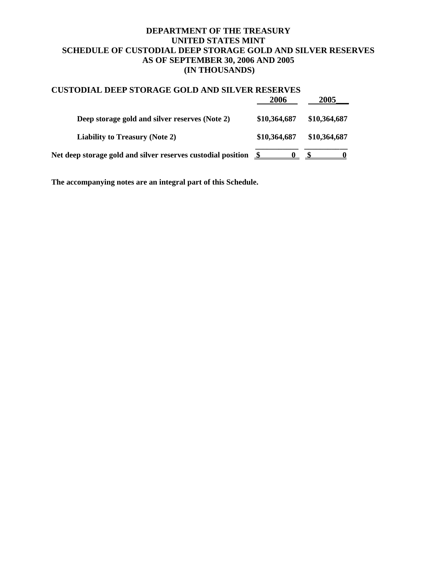#### **DEPARTMENT OF THE TREASURY UNITED STATES MINT SCHEDULE OF CUSTODIAL DEEP STORAGE GOLD AND SILVER RESERVES AS OF SEPTEMBER 30, 2006 AND 2005 (IN THOUSANDS)**

| <b>CUSTODIAL DEEP STORAGE GOLD AND SILVER RESERVES</b>       |              |              |  |
|--------------------------------------------------------------|--------------|--------------|--|
|                                                              | 2006         | 2005         |  |
| Deep storage gold and silver reserves (Note 2)               | \$10,364,687 | \$10,364,687 |  |
| <b>Liability to Treasury (Note 2)</b>                        | \$10,364,687 | \$10,364,687 |  |
| Net deep storage gold and silver reserves custodial position |              |              |  |

**The accompanying notes are an integral part of this Schedule.**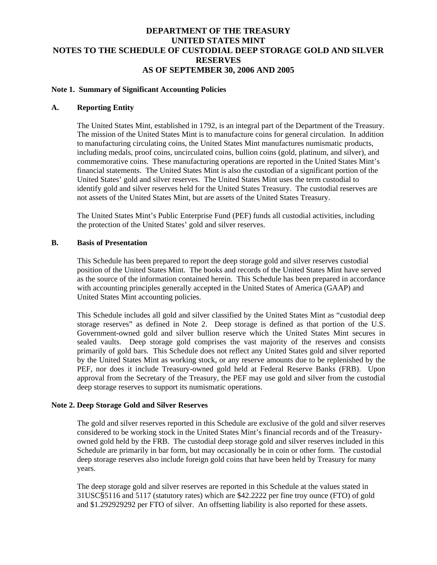#### **DEPARTMENT OF THE TREASURY UNITED STATES MINT NOTES TO THE SCHEDULE OF CUSTODIAL DEEP STORAGE GOLD AND SILVER RESERVES AS OF SEPTEMBER 30, 2006 AND 2005**

#### **Note 1. Summary of Significant Accounting Policies**

#### **A. Reporting Entity**

The United States Mint, established in 1792, is an integral part of the Department of the Treasury. The mission of the United States Mint is to manufacture coins for general circulation. In addition to manufacturing circulating coins, the United States Mint manufactures numismatic products, including medals, proof coins, uncirculated coins, bullion coins (gold, platinum, and silver), and commemorative coins. These manufacturing operations are reported in the United States Mint's financial statements. The United States Mint is also the custodian of a significant portion of the United States' gold and silver reserves. The United States Mint uses the term custodial to identify gold and silver reserves held for the United States Treasury. The custodial reserves are not assets of the United States Mint, but are assets of the United States Treasury.

The United States Mint's Public Enterprise Fund (PEF) funds all custodial activities, including the protection of the United States' gold and silver reserves.

#### **B. Basis of Presentation**

This Schedule has been prepared to report the deep storage gold and silver reserves custodial position of the United States Mint. The books and records of the United States Mint have served as the source of the information contained herein. This Schedule has been prepared in accordance with accounting principles generally accepted in the United States of America (GAAP) and United States Mint accounting policies.

This Schedule includes all gold and silver classified by the United States Mint as "custodial deep storage reserves" as defined in Note 2. Deep storage is defined as that portion of the U.S. Government-owned gold and silver bullion reserve which the United States Mint secures in sealed vaults. Deep storage gold comprises the vast majority of the reserves and consists primarily of gold bars. This Schedule does not reflect any United States gold and silver reported by the United States Mint as working stock, or any reserve amounts due to be replenished by the PEF, nor does it include Treasury-owned gold held at Federal Reserve Banks (FRB). Upon approval from the Secretary of the Treasury, the PEF may use gold and silver from the custodial deep storage reserves to support its numismatic operations.

#### **Note 2. Deep Storage Gold and Silver Reserves**

The gold and silver reserves reported in this Schedule are exclusive of the gold and silver reserves considered to be working stock in the United States Mint's financial records and of the Treasuryowned gold held by the FRB. The custodial deep storage gold and silver reserves included in this Schedule are primarily in bar form, but may occasionally be in coin or other form. The custodial deep storage reserves also include foreign gold coins that have been held by Treasury for many years.

The deep storage gold and silver reserves are reported in this Schedule at the values stated in 31USC§5116 and 5117 (statutory rates) which are \$42.2222 per fine troy ounce (FTO) of gold and \$1.292929292 per FTO of silver. An offsetting liability is also reported for these assets.